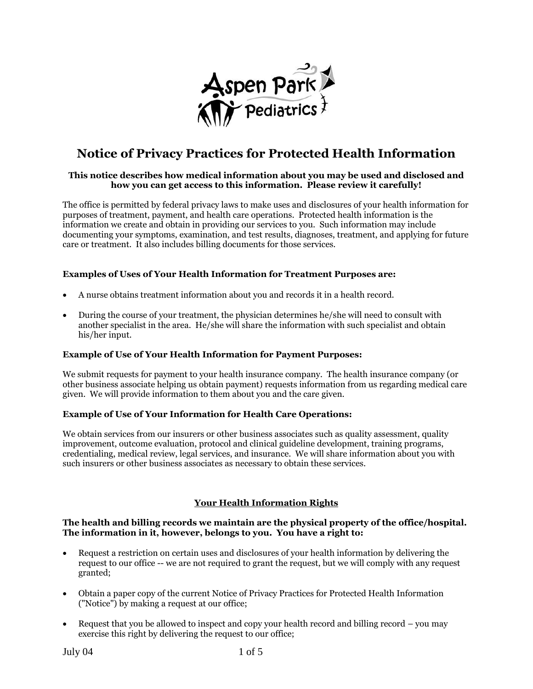

# **Notice of Privacy Practices for Protected Health Information**

## **This notice describes how medical information about you may be used and disclosed and how you can get access to this information. Please review it carefully!**

The office is permitted by federal privacy laws to make uses and disclosures of your health information for purposes of treatment, payment, and health care operations. Protected health information is the information we create and obtain in providing our services to you. Such information may include documenting your symptoms, examination, and test results, diagnoses, treatment, and applying for future care or treatment. It also includes billing documents for those services.

## **Examples of Uses of Your Health Information for Treatment Purposes are:**

- A nurse obtains treatment information about you and records it in a health record.
- During the course of your treatment, the physician determines he/she will need to consult with another specialist in the area. He/she will share the information with such specialist and obtain his/her input.

## **Example of Use of Your Health Information for Payment Purposes:**

We submit requests for payment to your health insurance company. The health insurance company (or other business associate helping us obtain payment) requests information from us regarding medical care given. We will provide information to them about you and the care given.

## **Example of Use of Your Information for Health Care Operations:**

We obtain services from our insurers or other business associates such as quality assessment, quality improvement, outcome evaluation, protocol and clinical guideline development, training programs, credentialing, medical review, legal services, and insurance. We will share information about you with such insurers or other business associates as necessary to obtain these services.

# **Your Health Information Rights**

## **The health and billing records we maintain are the physical property of the office/hospital. The information in it, however, belongs to you. You have a right to:**

- Request a restriction on certain uses and disclosures of your health information by delivering the request to our office -- we are not required to grant the request, but we will comply with any request granted;
- Obtain a paper copy of the current Notice of Privacy Practices for Protected Health Information ("Notice") by making a request at our office;
- Request that you be allowed to inspect and copy your health record and billing record you may exercise this right by delivering the request to our office;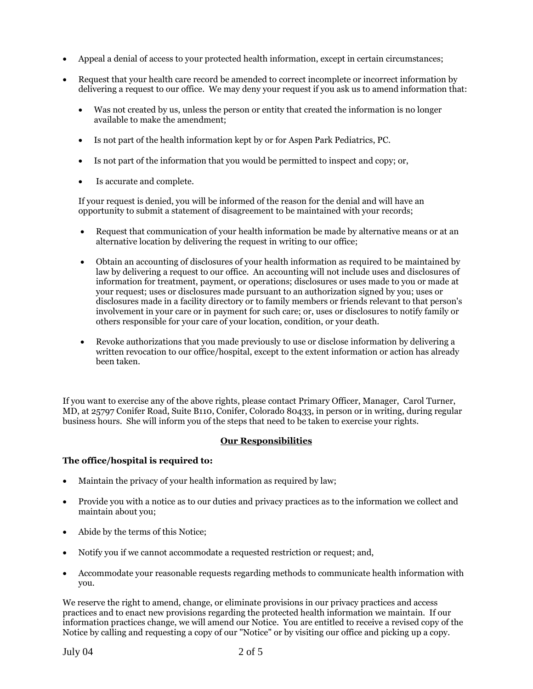- Appeal a denial of access to your protected health information, except in certain circumstances;
- Request that your health care record be amended to correct incomplete or incorrect information by delivering a request to our office. We may deny your request if you ask us to amend information that:
	- Was not created by us, unless the person or entity that created the information is no longer available to make the amendment;
	- Is not part of the health information kept by or for Aspen Park Pediatrics, PC.
	- Is not part of the information that you would be permitted to inspect and copy; or,
	- Is accurate and complete.

If your request is denied, you will be informed of the reason for the denial and will have an opportunity to submit a statement of disagreement to be maintained with your records;

- Request that communication of your health information be made by alternative means or at an alternative location by delivering the request in writing to our office;
- Obtain an accounting of disclosures of your health information as required to be maintained by law by delivering a request to our office. An accounting will not include uses and disclosures of information for treatment, payment, or operations; disclosures or uses made to you or made at your request; uses or disclosures made pursuant to an authorization signed by you; uses or disclosures made in a facility directory or to family members or friends relevant to that person's involvement in your care or in payment for such care; or, uses or disclosures to notify family or others responsible for your care of your location, condition, or your death.
- Revoke authorizations that you made previously to use or disclose information by delivering a written revocation to our office/hospital, except to the extent information or action has already been taken.

If you want to exercise any of the above rights, please contact Primary Officer, Manager, Carol Turner, MD, at 25797 Conifer Road, Suite B110, Conifer, Colorado 80433, in person or in writing, during regular business hours. She will inform you of the steps that need to be taken to exercise your rights.

# **Our Responsibilities**

# **The office/hospital is required to:**

- Maintain the privacy of your health information as required by law;
- Provide you with a notice as to our duties and privacy practices as to the information we collect and maintain about you;
- Abide by the terms of this Notice;
- Notify you if we cannot accommodate a requested restriction or request; and,
- Accommodate your reasonable requests regarding methods to communicate health information with you.

We reserve the right to amend, change, or eliminate provisions in our privacy practices and access practices and to enact new provisions regarding the protected health information we maintain. If our information practices change, we will amend our Notice. You are entitled to receive a revised copy of the Notice by calling and requesting a copy of our "Notice" or by visiting our office and picking up a copy.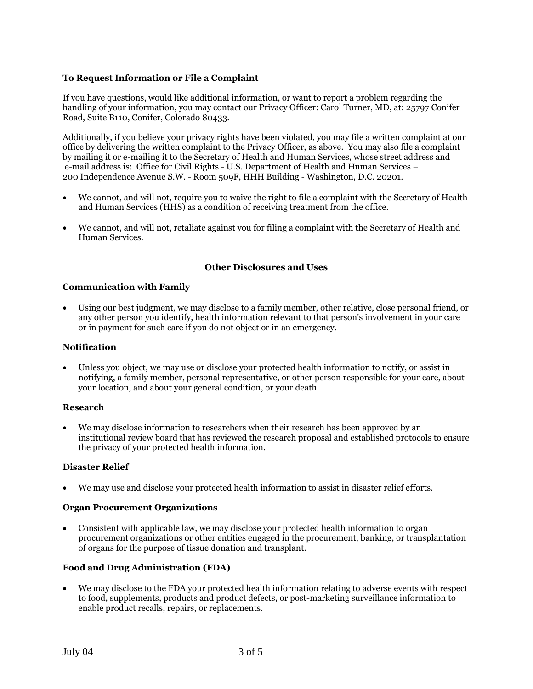# **To Request Information or File a Complaint**

If you have questions, would like additional information, or want to report a problem regarding the handling of your information, you may contact our Privacy Officer: Carol Turner, MD, at: 25797 Conifer Road, Suite B110, Conifer, Colorado 80433.

Additionally, if you believe your privacy rights have been violated, you may file a written complaint at our office by delivering the written complaint to the Privacy Officer, as above. You may also file a complaint by mailing it or e-mailing it to the Secretary of Health and Human Services, whose street address and e-mail address is: Office for Civil Rights - U.S. Department of Health and Human Services – 200 Independence Avenue S.W. - Room 509F, HHH Building - Washington, D.C. 20201.

- We cannot, and will not, require you to waive the right to file a complaint with the Secretary of Health and Human Services (HHS) as a condition of receiving treatment from the office.
- We cannot, and will not, retaliate against you for filing a complaint with the Secretary of Health and Human Services.

# **Other Disclosures and Uses**

## **Communication with Family**

 Using our best judgment, we may disclose to a family member, other relative, close personal friend, or any other person you identify, health information relevant to that person's involvement in your care or in payment for such care if you do not object or in an emergency.

## **Notification**

 Unless you object, we may use or disclose your protected health information to notify, or assist in notifying, a family member, personal representative, or other person responsible for your care, about your location, and about your general condition, or your death.

## **Research**

 We may disclose information to researchers when their research has been approved by an institutional review board that has reviewed the research proposal and established protocols to ensure the privacy of your protected health information.

# **Disaster Relief**

We may use and disclose your protected health information to assist in disaster relief efforts.

## **Organ Procurement Organizations**

 Consistent with applicable law, we may disclose your protected health information to organ procurement organizations or other entities engaged in the procurement, banking, or transplantation of organs for the purpose of tissue donation and transplant.

# **Food and Drug Administration (FDA)**

 We may disclose to the FDA your protected health information relating to adverse events with respect to food, supplements, products and product defects, or post-marketing surveillance information to enable product recalls, repairs, or replacements.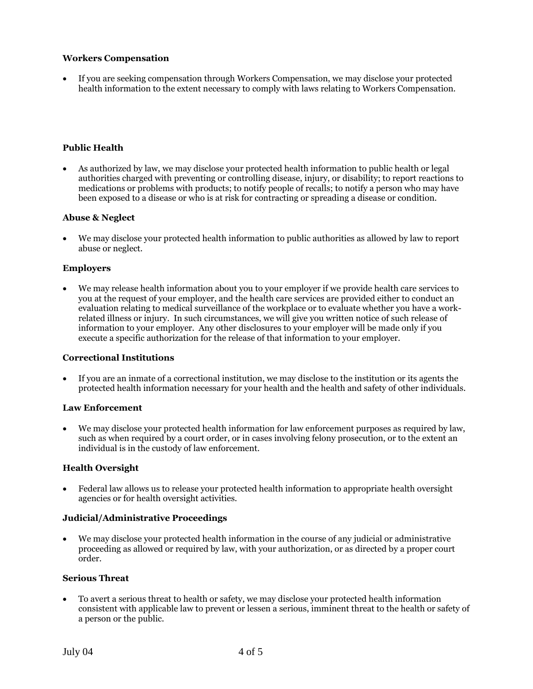## **Workers Compensation**

 If you are seeking compensation through Workers Compensation, we may disclose your protected health information to the extent necessary to comply with laws relating to Workers Compensation.

## **Public Health**

 As authorized by law, we may disclose your protected health information to public health or legal authorities charged with preventing or controlling disease, injury, or disability; to report reactions to medications or problems with products; to notify people of recalls; to notify a person who may have been exposed to a disease or who is at risk for contracting or spreading a disease or condition.

## **Abuse & Neglect**

 We may disclose your protected health information to public authorities as allowed by law to report abuse or neglect.

# **Employers**

 We may release health information about you to your employer if we provide health care services to you at the request of your employer, and the health care services are provided either to conduct an evaluation relating to medical surveillance of the workplace or to evaluate whether you have a workrelated illness or injury. In such circumstances, we will give you written notice of such release of information to your employer. Any other disclosures to your employer will be made only if you execute a specific authorization for the release of that information to your employer.

## **Correctional Institutions**

 If you are an inmate of a correctional institution, we may disclose to the institution or its agents the protected health information necessary for your health and the health and safety of other individuals.

## **Law Enforcement**

We may disclose your protected health information for law enforcement purposes as required by law, such as when required by a court order, or in cases involving felony prosecution, or to the extent an individual is in the custody of law enforcement.

## **Health Oversight**

 Federal law allows us to release your protected health information to appropriate health oversight agencies or for health oversight activities.

## **Judicial/Administrative Proceedings**

 We may disclose your protected health information in the course of any judicial or administrative proceeding as allowed or required by law, with your authorization, or as directed by a proper court order.

## **Serious Threat**

 To avert a serious threat to health or safety, we may disclose your protected health information consistent with applicable law to prevent or lessen a serious, imminent threat to the health or safety of a person or the public.